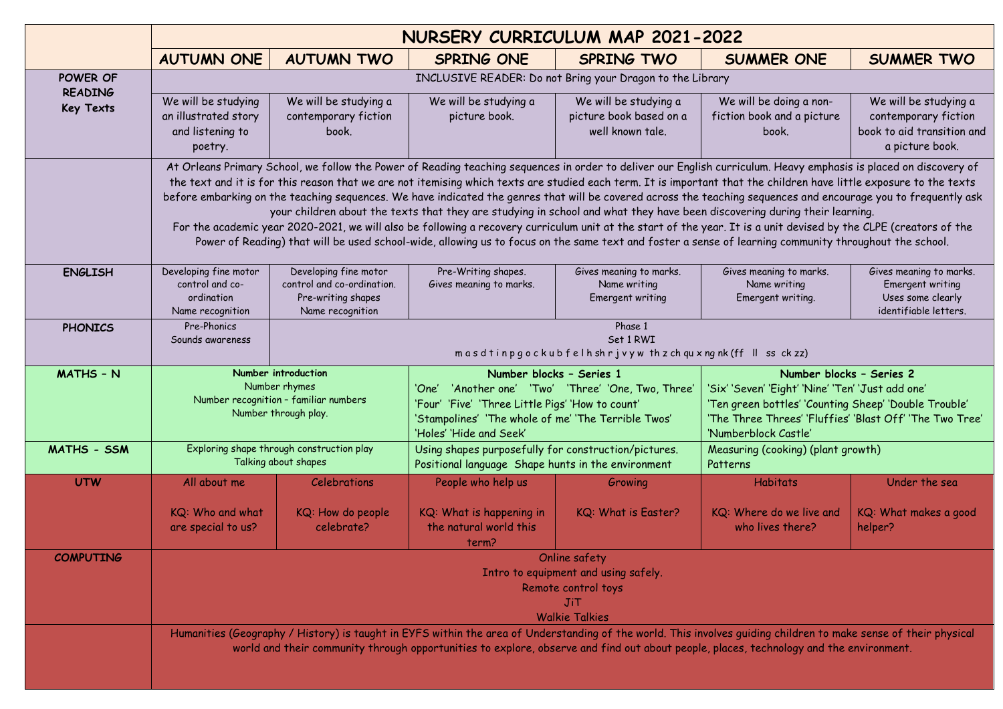|                                    | NURSERY CURRICULUM MAP 2021-2022                                                                                                                                                                                                                                                                                                                                                                                                                                                                                                                                                                                                                                                                                                                                                                                                                                                                                                                                        |                                                                                               |                                                                                                                                                                                                                       |                                                                      |                                                                                                                                                                                                                            |                                                                                                |  |  |
|------------------------------------|-------------------------------------------------------------------------------------------------------------------------------------------------------------------------------------------------------------------------------------------------------------------------------------------------------------------------------------------------------------------------------------------------------------------------------------------------------------------------------------------------------------------------------------------------------------------------------------------------------------------------------------------------------------------------------------------------------------------------------------------------------------------------------------------------------------------------------------------------------------------------------------------------------------------------------------------------------------------------|-----------------------------------------------------------------------------------------------|-----------------------------------------------------------------------------------------------------------------------------------------------------------------------------------------------------------------------|----------------------------------------------------------------------|----------------------------------------------------------------------------------------------------------------------------------------------------------------------------------------------------------------------------|------------------------------------------------------------------------------------------------|--|--|
|                                    | <b>AUTUMN ONE</b>                                                                                                                                                                                                                                                                                                                                                                                                                                                                                                                                                                                                                                                                                                                                                                                                                                                                                                                                                       | <b>AUTUMN TWO</b>                                                                             | SPRING ONE                                                                                                                                                                                                            | <b>SPRING TWO</b>                                                    | <b>SUMMER ONE</b>                                                                                                                                                                                                          | <b>SUMMER TWO</b>                                                                              |  |  |
| POWER OF                           | INCLUSIVE READER: Do not Bring your Dragon to the Library                                                                                                                                                                                                                                                                                                                                                                                                                                                                                                                                                                                                                                                                                                                                                                                                                                                                                                               |                                                                                               |                                                                                                                                                                                                                       |                                                                      |                                                                                                                                                                                                                            |                                                                                                |  |  |
| <b>READING</b><br><b>Key Texts</b> | We will be studying<br>an illustrated story<br>and listening to<br>poetry.                                                                                                                                                                                                                                                                                                                                                                                                                                                                                                                                                                                                                                                                                                                                                                                                                                                                                              | We will be studying a<br>contemporary fiction<br>book.                                        | We will be studying a<br>picture book.                                                                                                                                                                                | We will be studying a<br>picture book based on a<br>well known tale. | We will be doing a non-<br>fiction book and a picture<br>book.                                                                                                                                                             | We will be studying a<br>contemporary fiction<br>book to aid transition and<br>a picture book. |  |  |
|                                    | At Orleans Primary School, we follow the Power of Reading teaching sequences in order to deliver our English curriculum. Heavy emphasis is placed on discovery of<br>the text and it is for this reason that we are not itemising which texts are studied each term. It is important that the children have little exposure to the texts<br>before embarking on the teaching sequences. We have indicated the genres that will be covered across the teaching sequences and encourage you to frequently ask<br>your children about the texts that they are studying in school and what they have been discovering during their learning.<br>For the academic year 2020-2021, we will also be following a recovery curriculum unit at the start of the year. It is a unit devised by the CLPE (creators of the<br>Power of Reading) that will be used school-wide, allowing us to focus on the same text and foster a sense of learning community throughout the school. |                                                                                               |                                                                                                                                                                                                                       |                                                                      |                                                                                                                                                                                                                            |                                                                                                |  |  |
| <b>ENGLISH</b>                     | Developing fine motor<br>control and co-<br>ordination<br>Name recognition                                                                                                                                                                                                                                                                                                                                                                                                                                                                                                                                                                                                                                                                                                                                                                                                                                                                                              | Developing fine motor<br>control and co-ordination.<br>Pre-writing shapes<br>Name recognition | Pre-Writing shapes.<br>Gives meaning to marks.                                                                                                                                                                        | Gives meaning to marks.<br>Name writing<br>Emergent writing          | Gives meaning to marks.<br>Name writing<br>Emergent writing.                                                                                                                                                               | Gives meaning to marks.<br>Emergent writing<br>Uses some clearly<br>identifiable letters.      |  |  |
| <b>PHONICS</b>                     | Pre-Phonics<br>Sounds awareness                                                                                                                                                                                                                                                                                                                                                                                                                                                                                                                                                                                                                                                                                                                                                                                                                                                                                                                                         | Phase 1<br>Set 1 RWI<br>masdtinpgockubfelhshrjvyw thzchquxngnk(ff II ss ckzz)                 |                                                                                                                                                                                                                       |                                                                      |                                                                                                                                                                                                                            |                                                                                                |  |  |
| <b>MATHS - N</b>                   | Number introduction<br>Number rhymes<br>Number recognition - familiar numbers<br>Number through play.                                                                                                                                                                                                                                                                                                                                                                                                                                                                                                                                                                                                                                                                                                                                                                                                                                                                   |                                                                                               | Number blocks - Series 1<br>'One' 'Another one' 'Two' 'Three' 'One, Two, Three'<br>'Four' 'Five' 'Three Little Pigs' 'How to count'<br>'Stampolines' 'The whole of me' 'The Terrible Twos'<br>'Holes' 'Hide and Seek' |                                                                      | Number blocks - Series 2<br>'Six' 'Seven' 'Eight' 'Nine' 'Ten' 'Just add one'<br>'Ten green bottles' 'Counting Sheep' 'Double Trouble'<br>'The Three Threes' 'Fluffies' 'Blast Off' 'The Two Tree'<br>'Numberblock Castle' |                                                                                                |  |  |
| MATHS - SSM                        | Exploring shape through construction play<br>Talking about shapes                                                                                                                                                                                                                                                                                                                                                                                                                                                                                                                                                                                                                                                                                                                                                                                                                                                                                                       |                                                                                               | Using shapes purposefully for construction/pictures.<br>Positional language Shape hunts in the environment                                                                                                            |                                                                      | Measuring (cooking) (plant growth)<br>Patterns                                                                                                                                                                             |                                                                                                |  |  |
| <b>UTW</b>                         | All about me                                                                                                                                                                                                                                                                                                                                                                                                                                                                                                                                                                                                                                                                                                                                                                                                                                                                                                                                                            | <b>Celebrations</b>                                                                           | People who help us                                                                                                                                                                                                    | Growing                                                              | <b>Habitats</b>                                                                                                                                                                                                            | Under the sea                                                                                  |  |  |
|                                    | KQ: Who and what<br>are special to us?                                                                                                                                                                                                                                                                                                                                                                                                                                                                                                                                                                                                                                                                                                                                                                                                                                                                                                                                  | KQ: How do people<br>celebrate?                                                               | KQ: What is happening in<br>the natural world this<br>term?                                                                                                                                                           | KQ: What is Easter?                                                  | KQ: Where do we live and<br>who lives there?                                                                                                                                                                               | KQ: What makes a good<br>helper?                                                               |  |  |
| <b>COMPUTING</b>                   | Online safety<br>Intro to equipment and using safely.<br>Remote control toys<br><b>JiT</b><br><b>Walkie Talkies</b>                                                                                                                                                                                                                                                                                                                                                                                                                                                                                                                                                                                                                                                                                                                                                                                                                                                     |                                                                                               |                                                                                                                                                                                                                       |                                                                      |                                                                                                                                                                                                                            |                                                                                                |  |  |
|                                    | Humanities (Geography / History) is taught in EYFS within the area of Understanding of the world. This involves guiding children to make sense of their physical<br>world and their community through opportunities to explore, observe and find out about people, places, technology and the environment.                                                                                                                                                                                                                                                                                                                                                                                                                                                                                                                                                                                                                                                              |                                                                                               |                                                                                                                                                                                                                       |                                                                      |                                                                                                                                                                                                                            |                                                                                                |  |  |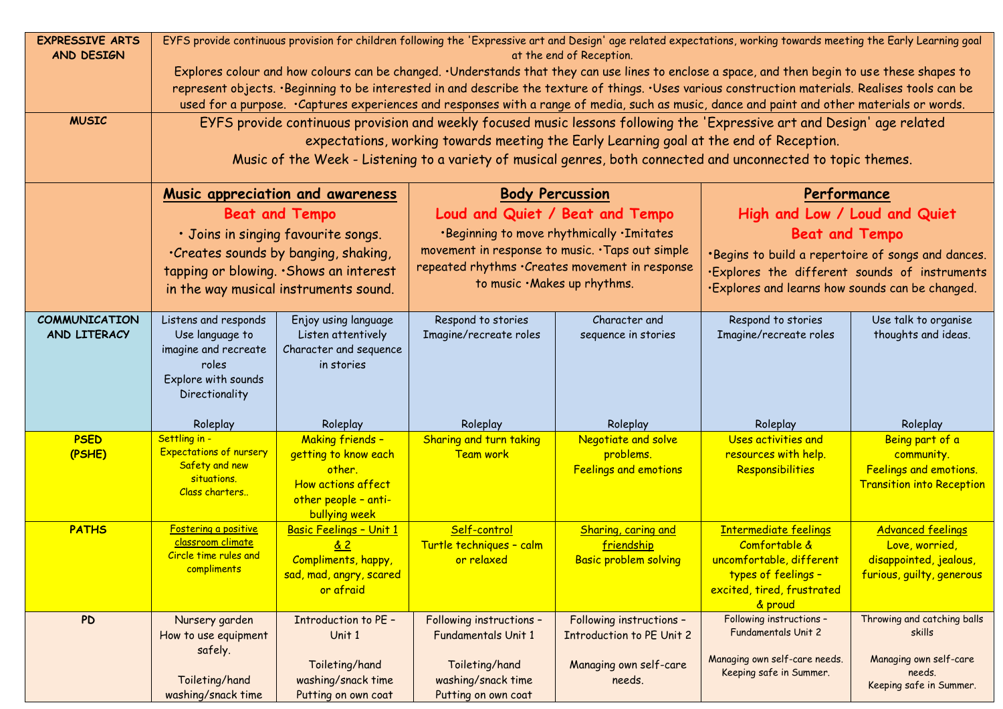| <b>EXPRESSIVE ARTS</b><br>AND DESIGN | EYFS provide continuous provision for children following the 'Expressive art and Design' age related expectations, working towards meeting the Early Learning goal<br>at the end of Reception.                                                                                                                                                                                                                                                         |                                                                                                                          |                                                                                                     |                                                                   |                                                                                                                                           |                                                                                                   |  |  |
|--------------------------------------|--------------------------------------------------------------------------------------------------------------------------------------------------------------------------------------------------------------------------------------------------------------------------------------------------------------------------------------------------------------------------------------------------------------------------------------------------------|--------------------------------------------------------------------------------------------------------------------------|-----------------------------------------------------------------------------------------------------|-------------------------------------------------------------------|-------------------------------------------------------------------------------------------------------------------------------------------|---------------------------------------------------------------------------------------------------|--|--|
|                                      | Explores colour and how colours can be changed. · Understands that they can use lines to enclose a space, and then begin to use these shapes to<br>represent objects. · Beginning to be interested in and describe the texture of things. · Uses various construction materials. Realises tools can be<br>used for a purpose. · Captures experiences and responses with a range of media, such as music, dance and paint and other materials or words. |                                                                                                                          |                                                                                                     |                                                                   |                                                                                                                                           |                                                                                                   |  |  |
| <b>MUSIC</b>                         | EYFS provide continuous provision and weekly focused music lessons following the 'Expressive art and Design' age related<br>expectations, working towards meeting the Early Learning goal at the end of Reception.<br>Music of the Week - Listening to a variety of musical genres, both connected and unconnected to topic themes.                                                                                                                    |                                                                                                                          |                                                                                                     |                                                                   |                                                                                                                                           |                                                                                                   |  |  |
|                                      | Music appreciation and awareness                                                                                                                                                                                                                                                                                                                                                                                                                       |                                                                                                                          | <b>Body Percussion</b>                                                                              |                                                                   | Performance                                                                                                                               |                                                                                                   |  |  |
|                                      | <b>Beat and Tempo</b>                                                                                                                                                                                                                                                                                                                                                                                                                                  |                                                                                                                          | Loud and Quiet / Beat and Tempo                                                                     |                                                                   | High and Low / Loud and Quiet                                                                                                             |                                                                                                   |  |  |
|                                      |                                                                                                                                                                                                                                                                                                                                                                                                                                                        | · Joins in singing favourite songs.                                                                                      | .Beginning to move rhythmically . Imitates                                                          |                                                                   | <b>Beat and Tempo</b>                                                                                                                     |                                                                                                   |  |  |
|                                      |                                                                                                                                                                                                                                                                                                                                                                                                                                                        | . Creates sounds by banging, shaking,                                                                                    | movement in response to music. · Taps out simple<br>repeated rhythms . Creates movement in response |                                                                   | *Begins to build a repertoire of songs and dances.                                                                                        |                                                                                                   |  |  |
|                                      | tapping or blowing. . Shows an interest<br>in the way musical instruments sound.                                                                                                                                                                                                                                                                                                                                                                       |                                                                                                                          | to music . Makes up rhythms.                                                                        |                                                                   | ·Explores the different sounds of instruments<br>.Explores and learns how sounds can be changed.                                          |                                                                                                   |  |  |
| <b>COMMUNICATION</b><br>AND LITERACY | Listens and responds<br>Use language to<br>imagine and recreate<br>roles<br>Explore with sounds<br>Directionality                                                                                                                                                                                                                                                                                                                                      | Enjoy using language<br>Listen attentively<br>Character and sequence<br>in stories                                       | Respond to stories<br>Imagine/recreate roles                                                        | Character and<br>sequence in stories                              | Respond to stories<br>Imagine/recreate roles                                                                                              | Use talk to organise<br>thoughts and ideas.                                                       |  |  |
|                                      | Roleplay                                                                                                                                                                                                                                                                                                                                                                                                                                               | Roleplay                                                                                                                 | Roleplay                                                                                            | Roleplay                                                          | Roleplay                                                                                                                                  | Roleplay                                                                                          |  |  |
| <b>PSED</b><br>(PSHE)                | Settling in -<br><b>Expectations of nursery</b><br>Safety and new<br>situations.<br>Class charters                                                                                                                                                                                                                                                                                                                                                     | <b>Making friends -</b><br>getting to know each<br>other.<br>How actions affect<br>other people - anti-<br>bullying week | Sharing and turn taking<br>Team work                                                                | Negotiate and solve<br>problems.<br><b>Feelings and emotions</b>  | Uses activities and<br>resources with help.<br>Responsibilities                                                                           | Being part of a<br>community.<br>Feelings and emotions.<br><b>Transition into Reception</b>       |  |  |
| <b>PATHS</b>                         | Fostering a positive<br>classroom climate<br>Circle time rules and<br>compliments                                                                                                                                                                                                                                                                                                                                                                      | Basic Feelings - Unit 1<br><u>&amp; 2</u><br>Compliments, happy,<br>sad, mad, angry, scared<br>or afraid                 | Self-control<br>Turtle techniques - calm<br>or relaxed                                              | Sharing, caring and<br>friendship<br><b>Basic problem solving</b> | <b>Intermediate feelings</b><br>Comfortable &<br>uncomfortable, different<br>types of feelings -<br>excited, tired, frustrated<br>& proud | <b>Advanced feelings</b><br>Love, worried,<br>disappointed, jealous,<br>furious, guilty, generous |  |  |
| <b>PD</b>                            | Nursery garden<br>How to use equipment                                                                                                                                                                                                                                                                                                                                                                                                                 | <b>Introduction to PE -</b><br>Unit 1                                                                                    | Following instructions -<br>Fundamentals Unit 1                                                     | Following instructions -<br><b>Introduction to PE Unit 2</b>      | Following instructions -<br>Fundamentals Unit 2                                                                                           | Throwing and catching balls<br>skills                                                             |  |  |
|                                      | safely.<br>Toileting/hand<br>washing/snack time                                                                                                                                                                                                                                                                                                                                                                                                        | Toileting/hand<br>washing/snack time<br>Putting on own coat                                                              | Toileting/hand<br>washing/snack time<br>Putting on own coat                                         | Managing own self-care<br>needs.                                  | Managing own self-care needs.<br>Keeping safe in Summer.                                                                                  | Managing own self-care<br>needs.<br>Keeping safe in Summer.                                       |  |  |